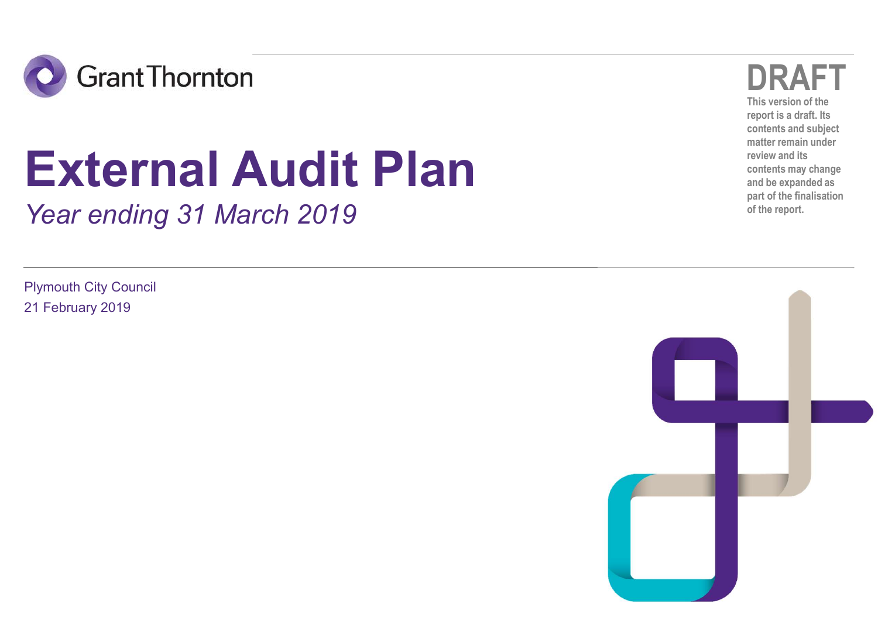

# External Audit Plan

Year ending 31 March 2019

Plymouth City Council 21 February 2019



DRAFT

This version of the report is a draft. Its contents and subject matter remain under review and its contents may change and be expanded as part of the finalisation of the report.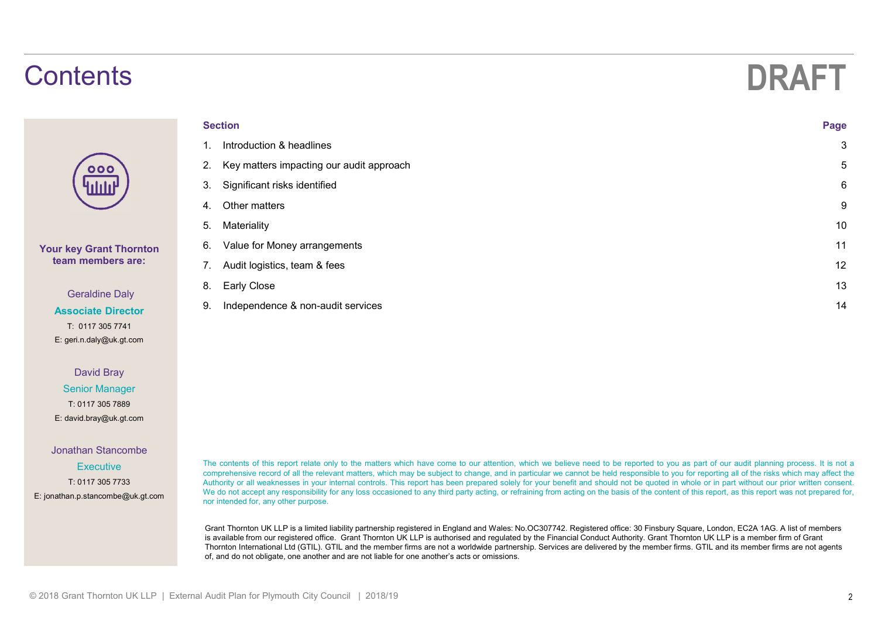## **Contents**

# DRAFT

| 0 <sup>c</sup><br>∙ |
|---------------------|
| <b>ninin</b>        |
|                     |

Your key Grant Thornton team members are:

> Geraldine Daly Associate Director T: 0117 305 7741 E: geri.n.daly@uk.gt.com

David Bray Senior Manager T: 0117 305 7889 E: david.bray@uk.gt.com

#### Jonathan Stancombe

|                                                                                                                                                                                                                                                                                                                                                                                                                                                                                                                                                                                                                                                                                                                                                                                                                                      | <b>DRAFT</b> |
|--------------------------------------------------------------------------------------------------------------------------------------------------------------------------------------------------------------------------------------------------------------------------------------------------------------------------------------------------------------------------------------------------------------------------------------------------------------------------------------------------------------------------------------------------------------------------------------------------------------------------------------------------------------------------------------------------------------------------------------------------------------------------------------------------------------------------------------|--------------|
| <b>Section</b>                                                                                                                                                                                                                                                                                                                                                                                                                                                                                                                                                                                                                                                                                                                                                                                                                       | Page         |
| 1. Introduction & headlines                                                                                                                                                                                                                                                                                                                                                                                                                                                                                                                                                                                                                                                                                                                                                                                                          | 3            |
| 2. Key matters impacting our audit approach                                                                                                                                                                                                                                                                                                                                                                                                                                                                                                                                                                                                                                                                                                                                                                                          | 5            |
| 3. Significant risks identified                                                                                                                                                                                                                                                                                                                                                                                                                                                                                                                                                                                                                                                                                                                                                                                                      | 6            |
| 4. Other matters                                                                                                                                                                                                                                                                                                                                                                                                                                                                                                                                                                                                                                                                                                                                                                                                                     | 9            |
| 5. Materiality                                                                                                                                                                                                                                                                                                                                                                                                                                                                                                                                                                                                                                                                                                                                                                                                                       | 10           |
| 6. Value for Money arrangements                                                                                                                                                                                                                                                                                                                                                                                                                                                                                                                                                                                                                                                                                                                                                                                                      | 11           |
| 7. Audit logistics, team & fees                                                                                                                                                                                                                                                                                                                                                                                                                                                                                                                                                                                                                                                                                                                                                                                                      | 12           |
| 8. Early Close                                                                                                                                                                                                                                                                                                                                                                                                                                                                                                                                                                                                                                                                                                                                                                                                                       | 13           |
| 9. Independence & non-audit services                                                                                                                                                                                                                                                                                                                                                                                                                                                                                                                                                                                                                                                                                                                                                                                                 | 14           |
|                                                                                                                                                                                                                                                                                                                                                                                                                                                                                                                                                                                                                                                                                                                                                                                                                                      |              |
|                                                                                                                                                                                                                                                                                                                                                                                                                                                                                                                                                                                                                                                                                                                                                                                                                                      |              |
|                                                                                                                                                                                                                                                                                                                                                                                                                                                                                                                                                                                                                                                                                                                                                                                                                                      |              |
|                                                                                                                                                                                                                                                                                                                                                                                                                                                                                                                                                                                                                                                                                                                                                                                                                                      |              |
|                                                                                                                                                                                                                                                                                                                                                                                                                                                                                                                                                                                                                                                                                                                                                                                                                                      |              |
|                                                                                                                                                                                                                                                                                                                                                                                                                                                                                                                                                                                                                                                                                                                                                                                                                                      |              |
| The contents of this report relate only to the matters which have come to our attention, which we believe need to be reported to you as part of our audit planning process. It is not a<br>comprehensive record of all the relevant matters, which may be subject to change, and in particular we cannot be held responsible to you for reporting all of the risks which may affect the<br>Authority or all weaknesses in your internal controls. This report has been prepared solely for your benefit and should not be quoted in whole or in part without our prior written consent.<br>We do not accept any responsibility for any loss occasioned to any third party acting, or refraining from acting on the basis of the content of this report, as this report was not prepared for,<br>nor intended for, any other purpose. |              |
| Grant Thornton UK LLP is a limited liability partnership registered in England and Wales: No.OC307742. Registered office: 30 Finsbury Square, London, EC2A 1AG. A list of members<br>is available from our registered office. Grant Thornton UK LLP is authorised and regulated by the Financial Conduct Authority. Grant Thornton UK LLP is a member firm of Grant<br>Thornton International Ltd (GTIL). GTIL and the member firms are not a worldwide partnership. Services are delivered by the member firms. GTIL and its member firms are not agents<br>of, and do not obligate, one another and are not liable for one another's acts or omissions.                                                                                                                                                                            |              |

Executive The contents of this report relate only to the matters which have come to our attention, which we believe need to be reported to you as part of our audit planning process. It is not a comprehensive record of all T: 0117 305 7733 Authority or all weaknesses in your internal controls. This report has been prepared solely for your benefit and should not be quoted in whole or in part without our prior written consent.<br>We do not accept E: jonathan.p.stancombe@uk.gt.com We do not accept any responsibility<br>nor intended for, any other purpose.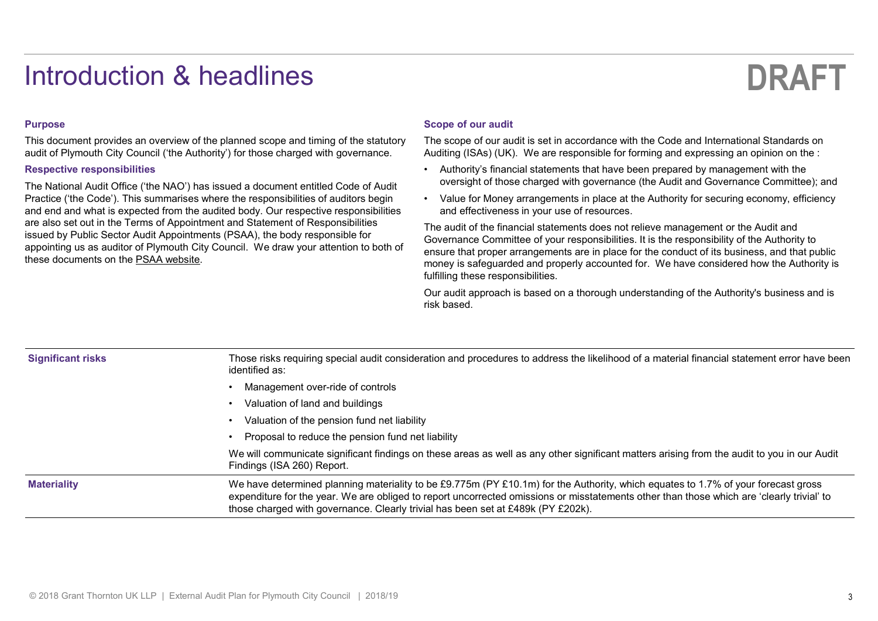## Introduction & headlines

# DRAFT

## **Purpose**

### Respective responsibilities

- Scope of our audit<br>The scope of our audit<br>The scope of our audit is set in accordance with the Code and International Standards on<br>Auditing (ISAs) (UK). We are responsible for forming and expressing an opinion on the :<br>Aut oversight of those charged with governance (the Audit and Governance Committee); and
- Practice ('the Code'). This summarises where the responsibilities of auditors begin Value for Money arrangements in place at the Authority for securing economy, efficiency Scope of our audit<br>
The scope of our audit is set in accordance with the Code and International Standards on<br>
Auditing (ISAs) (UK). We are responsible for forming and expressing an opinion on the :<br>
• Authority's financial and effectiveness in your use of resources.

Scope of our audit<br>
The scope of our audit is set in accordance with the Code and International Standards on<br>
Auditing (ISAs) (UK). We are responsible for forming and expressing an opinion on the :<br>
• Authority's financial The audit of the financial statements does not relieve management or the Audit and Governance Committee of your responsibilities. It is the responsibility of the Authority to ensure that proper arrangements are in place for the conduct of its business, and that public money is safeguarded and properly accounted for. We have considered how the Authority is fulfilling these responsibilities.

| <b>Purpose</b>                       |                                                                                                                                                                                                                                                                                                                                                    | <b>Scope of our audit</b>                                                                                                                                                                                                                                                                                                                                                                                            |
|--------------------------------------|----------------------------------------------------------------------------------------------------------------------------------------------------------------------------------------------------------------------------------------------------------------------------------------------------------------------------------------------------|----------------------------------------------------------------------------------------------------------------------------------------------------------------------------------------------------------------------------------------------------------------------------------------------------------------------------------------------------------------------------------------------------------------------|
|                                      | This document provides an overview of the planned scope and timing of the statutory<br>audit of Plymouth City Council ('the Authority') for those charged with governance.                                                                                                                                                                         | The scope of our audit is set in accordance with the Code and International Standards on<br>Auditing (ISAs) (UK). We are responsible for forming and expressing an opinion on the :                                                                                                                                                                                                                                  |
| <b>Respective responsibilities</b>   |                                                                                                                                                                                                                                                                                                                                                    | • Authority's financial statements that have been prepared by management with the<br>oversight of those charged with governance (the Audit and Governance Committee); and                                                                                                                                                                                                                                            |
|                                      | The National Audit Office ('the NAO') has issued a document entitled Code of Audit<br>Practice ('the Code'). This summarises where the responsibilities of auditors begin<br>and end and what is expected from the audited body. Our respective responsibilities<br>are also set out in the Terms of Appointment and Statement of Responsibilities | Value for Money arrangements in place at the Authority for securing economy, efficiency<br>and effectiveness in your use of resources.                                                                                                                                                                                                                                                                               |
| these documents on the PSAA website. | issued by Public Sector Audit Appointments (PSAA), the body responsible for<br>appointing us as auditor of Plymouth City Council. We draw your attention to both of                                                                                                                                                                                | The audit of the financial statements does not relieve management or the Audit and<br>Governance Committee of your responsibilities. It is the responsibility of the Authority to<br>ensure that proper arrangements are in place for the conduct of its business, and that public<br>money is safeguarded and properly accounted for. We have considered how the Authority is<br>fulfilling these responsibilities. |
|                                      |                                                                                                                                                                                                                                                                                                                                                    | Our audit approach is based on a thorough understanding of the Authority's business and is<br>risk based.                                                                                                                                                                                                                                                                                                            |
|                                      |                                                                                                                                                                                                                                                                                                                                                    |                                                                                                                                                                                                                                                                                                                                                                                                                      |
| <b>Significant risks</b>             | identified as:                                                                                                                                                                                                                                                                                                                                     | Those risks requiring special audit consideration and procedures to address the likelihood of a material financial statement error have been                                                                                                                                                                                                                                                                         |
|                                      | Management over-ride of controls                                                                                                                                                                                                                                                                                                                   |                                                                                                                                                                                                                                                                                                                                                                                                                      |
|                                      | • Valuation of land and buildings                                                                                                                                                                                                                                                                                                                  |                                                                                                                                                                                                                                                                                                                                                                                                                      |
|                                      | • Valuation of the pension fund net liability                                                                                                                                                                                                                                                                                                      |                                                                                                                                                                                                                                                                                                                                                                                                                      |
|                                      | Proposal to reduce the pension fund net liability                                                                                                                                                                                                                                                                                                  |                                                                                                                                                                                                                                                                                                                                                                                                                      |
|                                      | Findings (ISA 260) Report.                                                                                                                                                                                                                                                                                                                         | We will communicate significant findings on these areas as well as any other significant matters arising from the audit to you in our Audit                                                                                                                                                                                                                                                                          |
| <b>Materiality</b>                   |                                                                                                                                                                                                                                                                                                                                                    | We have determined planning materiality to be £9.775m (PY £10.1m) for the Authority, which equates to 1.7% of your forecast gross<br>expenditure for the year. We are obliged to report uncorrected omissions or misstatements other than those which are 'clearly trivial' to<br>those charged with governance. Clearly trivial has been set at £489k (PY £202k).                                                   |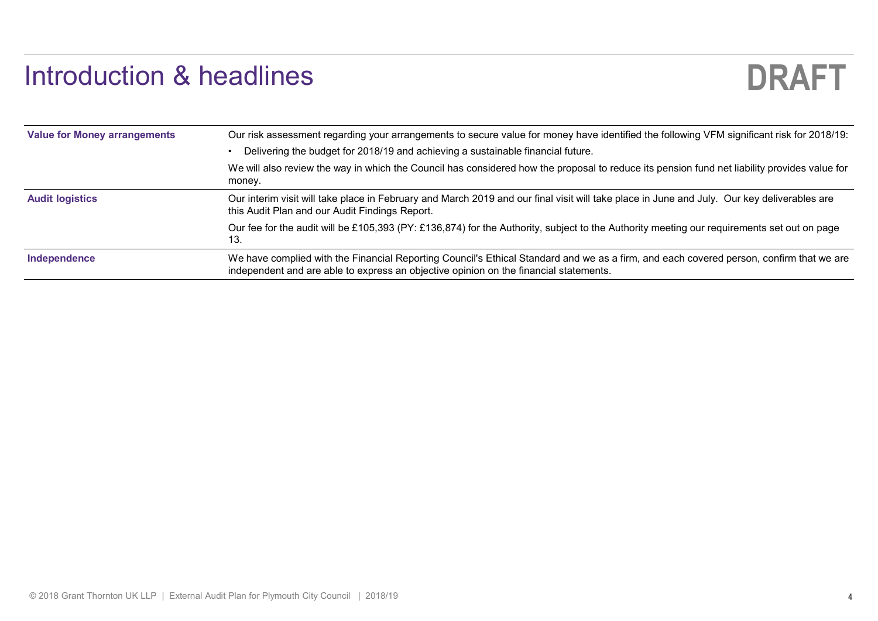## Introduction & headlines



| <b>DRAFT</b> |                                                                                                                                                                                               | Introduction & headlines            |
|--------------|-----------------------------------------------------------------------------------------------------------------------------------------------------------------------------------------------|-------------------------------------|
|              |                                                                                                                                                                                               |                                     |
|              | Our risk assessment regarding your arrangements to secure value for money have identified the following VFM significant risk for 2018/19:                                                     | <b>Value for Money arrangements</b> |
|              | Delivering the budget for 2018/19 and achieving a sustainable financial future.                                                                                                               |                                     |
|              | We will also review the way in which the Council has considered how the proposal to reduce its pension fund net liability provides value for<br>money.                                        |                                     |
|              | Our interim visit will take place in February and March 2019 and our final visit will take place in June and July. Our key deliverables are<br>this Audit Plan and our Audit Findings Report. | <b>Audit logistics</b>              |
|              | Our fee for the audit will be £105,393 (PY: £136,874) for the Authority, subject to the Authority meeting our requirements set out on page                                                    |                                     |
|              | 13.                                                                                                                                                                                           | Independence                        |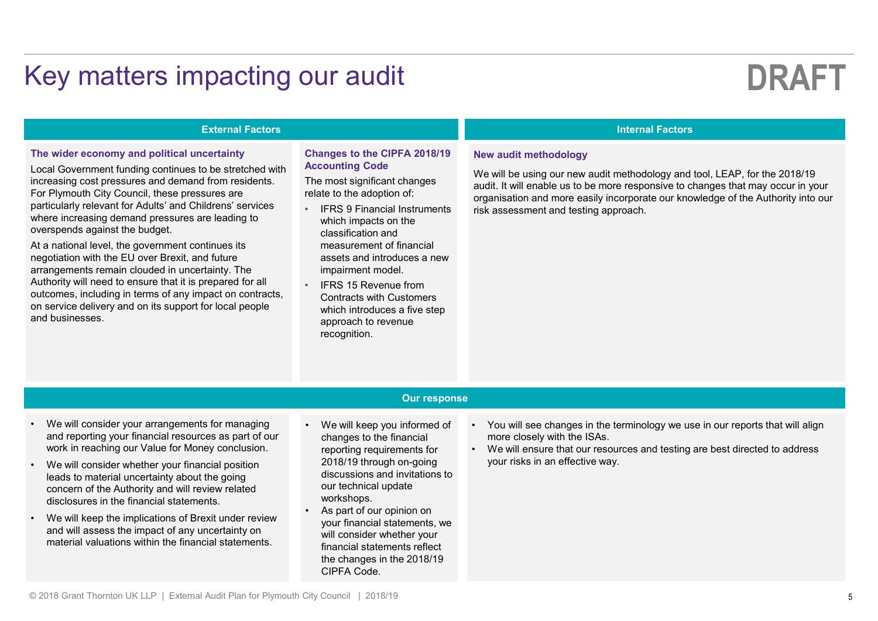## Key matters impacting our audit

# DRAFT

## External Factors

### The wider economy and political uncertainty

Local Government funding continues to be stretched with increasing cost pressures and demand from residents. For Plymouth City Council, these pressures are particularly relevant for Adults' and Childrens' services where increasing demand pressures are leading to overspends against the budget.

and gondine remain created in ancertainty. The managements in painting<br>Authority will need to ensure that it is prepared for all At a national level, the government continues its negotiation with the EU over Brexit, and future arrangements remain clouded in uncertainty. The outcomes, including in terms of any impact on contracts, on service delivery and on its support for local people and businesses. The wider economy and political uncertainty<br>
Local Government funding conting cole<br>
increasing ost pressures and demand form residents. The most significal<br>
For Plymouth City Council, these pressures are<br>
where increasing For Piymount City Council, mess pressures are<br>
particularly relevant for Adults' and Childrens' services<br>
where increasing demand pressures are leading to<br>
overspends against the budget.<br>
At a national level, the governmen A a maturial evel, the government communes its contract and the sesses and interactions with the EU over Brexit, and future assess and interactions are the sesses and interactions of consumer that is prepared for all const

## Changes to the CIPFA 2018/19 Accounting Code

The most significant changes relate to the adoption of:

- IFRS 9 Financial Instruments which impacts on the classification and measurement of financial assets and introduces a new
- **IFRS 15 Revenue from** Contracts with Customers which introduces a five step approach to revenue recognition.

## Internal Factors

## New audit methodology

New audit methodology<br>
• We will be using our new audit methodology and tool, LEAP, for the 2018/19<br>
• Will enable us to be more responsive to changes that may occur in your<br>
• organisation and more easily incorporate our • We will enable us to be more responsive to changes that may occur in your organisation and more easily incorporate our knowledge of the Authority into our risk assessment and testing approach.<br>
• You will see changes in We will be using our new audit methodology and tool, LEAP, for the 2018/19 audit. It will enable us to be more responsive to changes that may occur in your organisation and more easily incorporate our knowledge of the Authority into our risk assessment and testing approach.

### Our response

- and reporting your financial resources as part of our work in reaching our Value for Money conclusion.
- leads to material uncertainty about the going concern of the Authority and will review related disclosures in the financial statements.
- and will assess the impact of any uncertainty on material valuations within the financial statements.
- Champes to the CHPH 2018/19<br>
Accounting Code<br>
The most significant changes<br>
The most significant changes<br>
we will be using out new audit methodology<br>
The most significant changes<br>
eadil Instruments<br>
relate to the adoption changes to the financial 2018/19 through on-going discussions and invitations to our technical update workshops. measurement of financial<br>
assests and introduces a new<br>
impairment model.<br>
IFRS 15 Revenue from<br>
Contracts with Customers<br>
which introduces a five step<br>
approach to revenue<br>
recognition.<br>
Curves a particular of the particu
- your financial statements, we will consider whether your financial statements reflect the changes in the 2018/19 CIPFA Code.
- more closely with the ISAs.
- your risks in an effective way. reporting requirements for  $\bullet\quad$  We will ensure that our resources and testing are best directed to address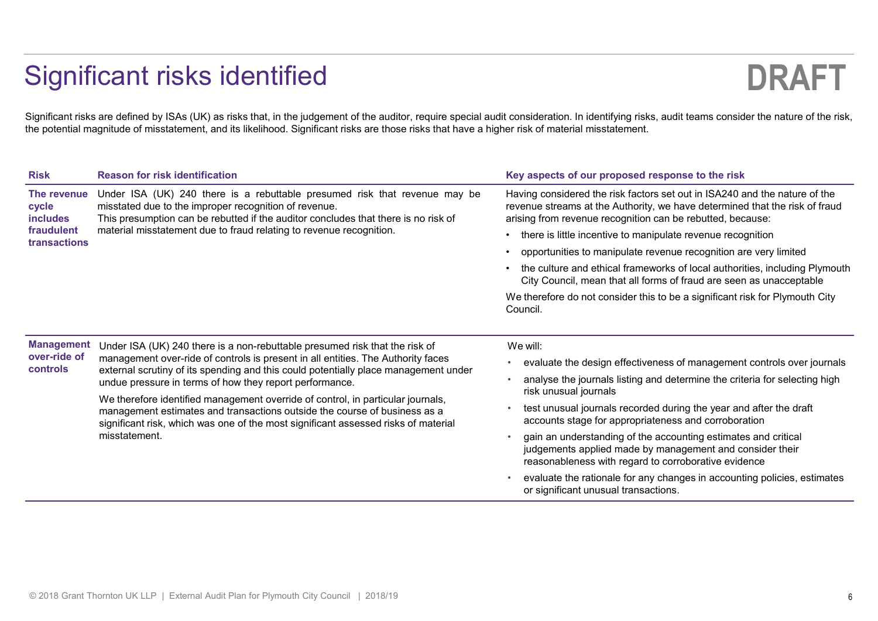## Significant risks identified

# DRAFT

|                                         | Significant risks identified                                                                                                                                                                                                                                                                                                                           | <b>DRAFT</b>                                                                                                                                                                                                            |
|-----------------------------------------|--------------------------------------------------------------------------------------------------------------------------------------------------------------------------------------------------------------------------------------------------------------------------------------------------------------------------------------------------------|-------------------------------------------------------------------------------------------------------------------------------------------------------------------------------------------------------------------------|
|                                         | Significant risks are defined by ISAs (UK) as risks that, in the judgement of the auditor, require special audit consideration. In identifying risks, audit teams consider the nature of the risk,<br>the potential magnitude of misstatement, and its likelihood. Significant risks are those risks that have a higher risk of material misstatement. |                                                                                                                                                                                                                         |
| <b>Risk</b>                             | <b>Reason for risk identification</b>                                                                                                                                                                                                                                                                                                                  | Key aspects of our proposed response to the risk                                                                                                                                                                        |
| The revenue<br>cycle<br><b>includes</b> | Under ISA (UK) 240 there is a rebuttable presumed risk that revenue may be<br>misstated due to the improper recognition of revenue.<br>This presumption can be rebutted if the auditor concludes that there is no risk of                                                                                                                              | Having considered the risk factors set out in ISA240 and the nature of the<br>revenue streams at the Authority, we have determined that the risk of fraud<br>arising from revenue recognition can be rebutted, because: |
| fraudulent<br>transactions              | material misstatement due to fraud relating to revenue recognition.                                                                                                                                                                                                                                                                                    | there is little incentive to manipulate revenue recognition                                                                                                                                                             |
|                                         |                                                                                                                                                                                                                                                                                                                                                        | opportunities to manipulate revenue recognition are very limited                                                                                                                                                        |
|                                         |                                                                                                                                                                                                                                                                                                                                                        | • the culture and ethical frameworks of local authorities, including Plymouth<br>City Council, mean that all forms of fraud are seen as unacceptable                                                                    |
|                                         |                                                                                                                                                                                                                                                                                                                                                        | We therefore do not consider this to be a significant risk for Plymouth City<br>Council.                                                                                                                                |
| <b>Management</b>                       | Under ISA (UK) 240 there is a non-rebuttable presumed risk that the risk of                                                                                                                                                                                                                                                                            | We will:                                                                                                                                                                                                                |
| over-ride of<br>controls                | management over-ride of controls is present in all entities. The Authority faces                                                                                                                                                                                                                                                                       | evaluate the design effectiveness of management controls over journals                                                                                                                                                  |
|                                         | external scrutiny of its spending and this could potentially place management under<br>undue pressure in terms of how they report performance.<br>We therefore identified management override of control, in particular journals,                                                                                                                      | analyse the journals listing and determine the criteria for selecting high<br>risk unusual journals                                                                                                                     |
|                                         | management estimates and transactions outside the course of business as a<br>significant risk, which was one of the most significant assessed risks of material                                                                                                                                                                                        | test unusual journals recorded during the year and after the draft<br>accounts stage for appropriateness and corroboration                                                                                              |
|                                         | misstatement.                                                                                                                                                                                                                                                                                                                                          | gain an understanding of the accounting estimates and critical                                                                                                                                                          |
|                                         |                                                                                                                                                                                                                                                                                                                                                        | judgements applied made by management and consider their<br>reasonableness with regard to corroborative evidence                                                                                                        |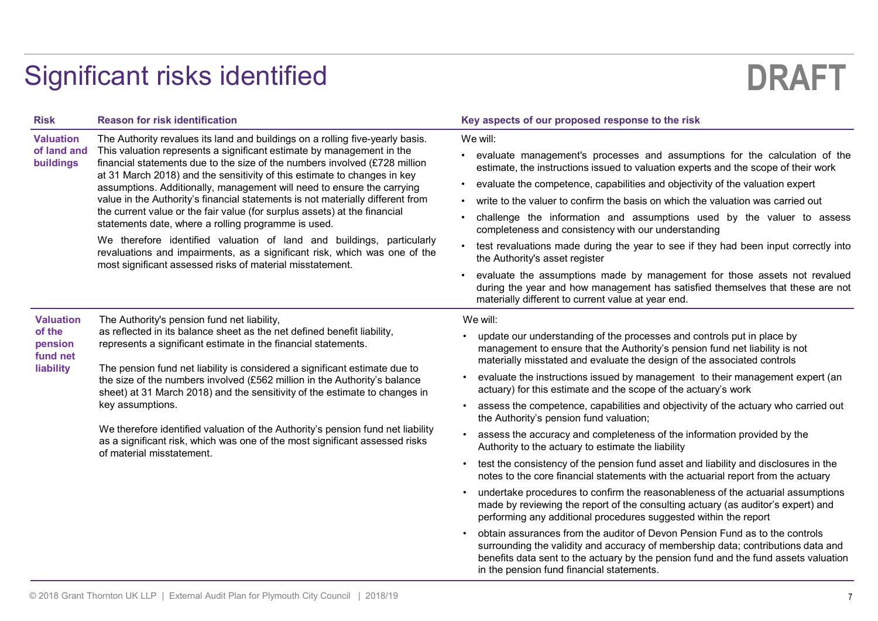## Significant risks identified

# DRAFT

|                                                                | Significant risks identified                                                                                                                                                                                                                                                                                                                                                                                                                                                                                                                                                                                                                                                                                                                                                                                                        | <b>DRAFT</b>                                                                                                                                                                                                                                                                                                                                                                                                                                                                                                                                                                                                                                                                                                                                                                                                                                                                                                                                                                                                                                                                                                                                                                                                                                                                                                                                                                                        |
|----------------------------------------------------------------|-------------------------------------------------------------------------------------------------------------------------------------------------------------------------------------------------------------------------------------------------------------------------------------------------------------------------------------------------------------------------------------------------------------------------------------------------------------------------------------------------------------------------------------------------------------------------------------------------------------------------------------------------------------------------------------------------------------------------------------------------------------------------------------------------------------------------------------|-----------------------------------------------------------------------------------------------------------------------------------------------------------------------------------------------------------------------------------------------------------------------------------------------------------------------------------------------------------------------------------------------------------------------------------------------------------------------------------------------------------------------------------------------------------------------------------------------------------------------------------------------------------------------------------------------------------------------------------------------------------------------------------------------------------------------------------------------------------------------------------------------------------------------------------------------------------------------------------------------------------------------------------------------------------------------------------------------------------------------------------------------------------------------------------------------------------------------------------------------------------------------------------------------------------------------------------------------------------------------------------------------------|
| <b>Risk</b>                                                    | <b>Reason for risk identification</b>                                                                                                                                                                                                                                                                                                                                                                                                                                                                                                                                                                                                                                                                                                                                                                                               | Key aspects of our proposed response to the risk                                                                                                                                                                                                                                                                                                                                                                                                                                                                                                                                                                                                                                                                                                                                                                                                                                                                                                                                                                                                                                                                                                                                                                                                                                                                                                                                                    |
| <b>Valuation</b><br>of land and<br>buildings                   | The Authority revalues its land and buildings on a rolling five-yearly basis.<br>This valuation represents a significant estimate by management in the<br>financial statements due to the size of the numbers involved (£728 million<br>at 31 March 2018) and the sensitivity of this estimate to changes in key<br>assumptions. Additionally, management will need to ensure the carrying<br>value in the Authority's financial statements is not materially different from<br>the current value or the fair value (for surplus assets) at the financial<br>statements date, where a rolling programme is used.<br>We therefore identified valuation of land and buildings, particularly<br>revaluations and impairments, as a significant risk, which was one of the<br>most significant assessed risks of material misstatement. | We will:<br>• evaluate management's processes and assumptions for the calculation of the<br>estimate, the instructions issued to valuation experts and the scope of their work<br>evaluate the competence, capabilities and objectivity of the valuation expert<br>• write to the valuer to confirm the basis on which the valuation was carried out<br>• challenge the information and assumptions used by the valuer to assess<br>completeness and consistency with our understanding<br>• test revaluations made during the year to see if they had been input correctly into<br>the Authority's asset register<br>• evaluate the assumptions made by management for those assets not revalued<br>during the year and how management has satisfied themselves that these are not<br>materially different to current value at year end.                                                                                                                                                                                                                                                                                                                                                                                                                                                                                                                                                           |
| <b>Valuation</b><br>of the<br>pension<br>fund net<br>liability | The Authority's pension fund net liability,<br>as reflected in its balance sheet as the net defined benefit liability,<br>represents a significant estimate in the financial statements.<br>The pension fund net liability is considered a significant estimate due to<br>the size of the numbers involved (£562 million in the Authority's balance<br>sheet) at 31 March 2018) and the sensitivity of the estimate to changes in<br>key assumptions.<br>We therefore identified valuation of the Authority's pension fund net liability<br>as a significant risk, which was one of the most significant assessed risks<br>of material misstatement.                                                                                                                                                                                | We will:<br>update our understanding of the processes and controls put in place by<br>management to ensure that the Authority's pension fund net liability is not<br>materially misstated and evaluate the design of the associated controls<br>evaluate the instructions issued by management to their management expert (an<br>actuary) for this estimate and the scope of the actuary's work<br>• assess the competence, capabilities and objectivity of the actuary who carried out<br>the Authority's pension fund valuation;<br>assess the accuracy and completeness of the information provided by the<br>Authority to the actuary to estimate the liability<br>• test the consistency of the pension fund asset and liability and disclosures in the<br>notes to the core financial statements with the actuarial report from the actuary<br>undertake procedures to confirm the reasonableness of the actuarial assumptions<br>made by reviewing the report of the consulting actuary (as auditor's expert) and<br>performing any additional procedures suggested within the report<br>obtain assurances from the auditor of Devon Pension Fund as to the controls<br>surrounding the validity and accuracy of membership data; contributions data and<br>benefits data sent to the actuary by the pension fund and the fund assets valuation<br>in the pension fund financial statements. |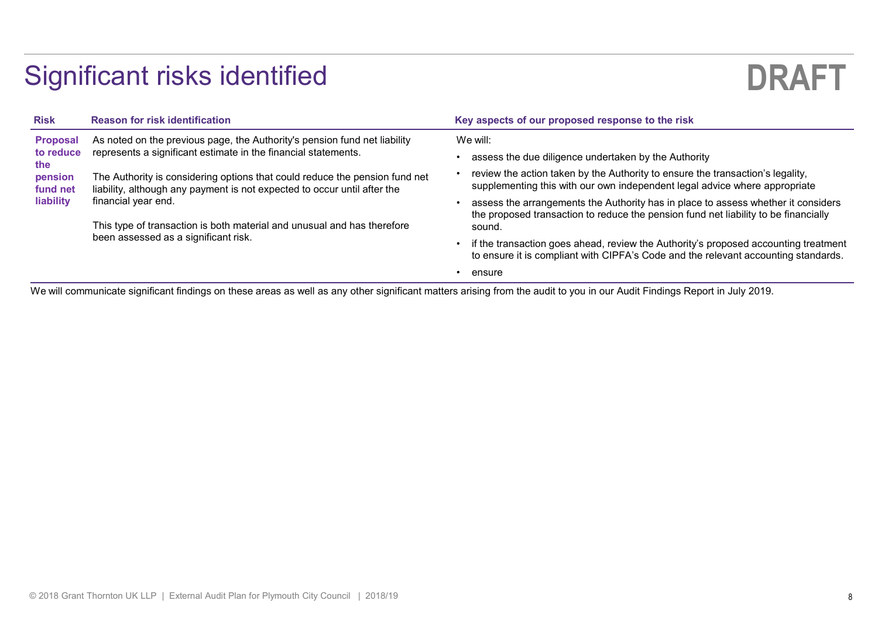## Significant risks identified

# DRAFT

|                                            | Significant risks identified                                                                                    | <b>DRAFT</b>                                                                                                                                                              |
|--------------------------------------------|-----------------------------------------------------------------------------------------------------------------|---------------------------------------------------------------------------------------------------------------------------------------------------------------------------|
|                                            | <b>Reason for risk identification</b>                                                                           | Key aspects of our proposed response to the risk                                                                                                                          |
| <b>Proposal</b>                            | As noted on the previous page, the Authority's pension fund net liability                                       | We will:                                                                                                                                                                  |
|                                            | represents a significant estimate in the financial statements.                                                  | • assess the due diligence undertaken by the Authority                                                                                                                    |
| <b>Risk</b><br>to reduce<br>the<br>pension | The Authority is considering options that could reduce the pension fund net                                     | • review the action taken by the Authority to ensure the transaction's legality,<br>supplementing this with our own independent legal advice where appropriate            |
| fund net<br>liability                      | liability, although any payment is not expected to occur until after the<br>financial year end.                 | assess the arrangements the Authority has in place to assess whether it considers<br>the proposed transaction to reduce the pension fund net liability to be financially  |
|                                            | This type of transaction is both material and unusual and has therefore<br>been assessed as a significant risk. | sound.                                                                                                                                                                    |
|                                            |                                                                                                                 | if the transaction goes ahead, review the Authority's proposed accounting treatment<br>to ensure it is compliant with CIPFA's Code and the relevant accounting standards. |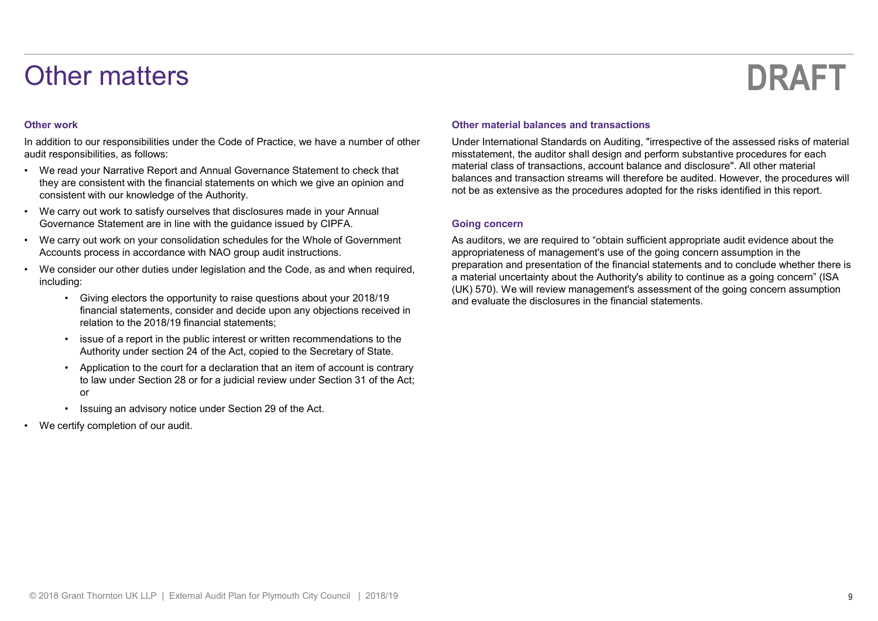# DRAFT

Other matters<br>
Other work<br>
In addition to our responsibilities under the Code of Practice, we have a number of other

- **Other matters**<br>
Other work<br>
In addition to our responsibilities under the Code of Practice, we have a number of<br>
audit responsibilities, as follows:<br>
 We read your Narrative Report and Annual Governance Statement to chec of the methods of Practice, we have a number of other work<br>and dition to our responsibilities under the Code of Practice, we have a number of other Unde<br>audit responsibilities, as follows:<br>• We read your Narrative Report a they are consistent with the financial statements on which we give an opinion and consistent with our knowledge of the Authority. From and the Code of Practice, we have a number of other work<br>
In addition to our responsibilities under the Code of Practice, we have a number of other<br>
work to searly vour Narative Report and Annual Governance Statement **Chinder matters**<br> **Chinder materials of the Code of Practice**, we have a number of other with and<br>
the radiour Narative Report and Annual Government to check that<br>
they are consistent with the financial statements on whic **Community** Consider and the Code of Practice, we have a number of other material distance and the Code of Practice, we have a number of other imstatement and distance and Annual Governance Statement to check that the con adart responsibilities, as follows:<br>
• We read your Narrative Report and Annual Governance Statement to check<br>
they are consistent with the financial statements on which we give an opinior<br>
• We carry out work to satisfy o
- Governance Statement are in line with the guidance issued by CIPFA.
- Accounts process in accordance with NAO group audit instructions.
- including:
- **Consider the Code of Practice, we have a number of other**<br>
 Under insistant<br>
exad your Narrative Report and Annual Governance Statement to check that<br>
ener consistent with the financial statements on which we give an o financial statements, consider and decide upon any objections received in relation to the 2018/19 financial statements;
	- Authority under section 24 of the Act, copied to the Secretary of State.
- **Price 10**<br>
 **Cheap Considersal a** report to the public interest of the public interest or the code of Practice, we have a number of other the consibilities, as follows:<br>
 interaction of a Amual Governance Statement to For the court is in the court of Practice, we have a number of other<br>
the consibilities, as follows:<br>
the financial statements on which we give an opinion and<br>
the consistent with the financial statements on which we give to law under Section 28 or for a judicial review under Section 31 of the Act; or The our responsibilities under the Code of Practice, we have a number of other<br>consibilities, as follows:<br>
and your Narrative Report and Annual Governance Statement to check that<br>
and your Narrative Report and Annual Gover
	-
- 

Other material balances and transactions<br>
In addition to our responsibilities under the Code of Practice, we have a number of other<br>
In addition to our responsibilities, as follows:<br>
and the context from such and the Code of the material balances and transactions<br>
in addition to our responsibilities are the Code of Practice, we have a number of other<br>
where material balances and transactions<br>
where the port and Annual Governance Statement t OTRATT<br>
Other material balances and transactions<br>
Under International Standards on Auditing, "irrespective of the assessed risks of material<br>
misstatement, the auditor shall design and perform substantive procedures for ea Under International Standards on Auditing, "irrespective of the assessed risks of material misstatement, the auditor shall design and perform substantive procedures for each material class of transactions, account balance and disclosure". All other material balances and transaction streams will therefore be audited. However, the procedures will not be as extensive as the procedures adopted for the risks identified in this report.

#### Going concern

As auditors, we are required to "obtain sufficient appropriate audit evidence about the appropriateness of management's use of the going concern assumption in the preparation and presentation of the financial statements and to conclude whether there is a material uncertainty about the Authority's ability to continue as a going concern" (ISA (UK) 570). We will review management's assessment of the going concern assumption and evaluate the disclosures in the financial statements.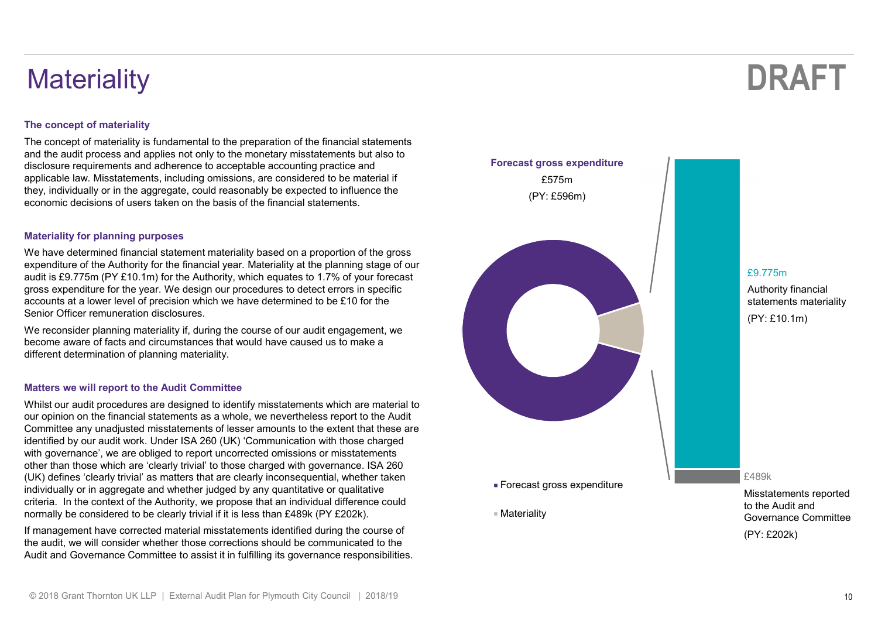## **Materiality**

# DRAFT

**Materiality**<br>The concept of materiality<br>The concept of materiality<br>and the audit process and applies not only to the monetary misstatements but also to<br>disclosure requirements and adherence to acceptable accounting practi The concept of materiality is fundamental to the preparation of the financial statements and the audit process and applies not only to the monetary misstatements but also to<br>disclosure requirements and adherence to acceptable accounting practice and<br>Forecast gross expenditure disclosure requirements and adherence to acceptable accounting practice and applicable law. Misstatements, including omissions, are considered to be material if they, individually or in the aggregate, could reasonably be expected to influence the economic decisions of users taken on the basis of the financial statements. **Materiality**<br>
The concept of materiality<br>
The concept of materiality<br>
The concept of materiality<br>
The concept of materiality<br>
and the audit process and applies not only to the monetary misstatements but also to<br>
discolou

We have determined financial statement materiality based on a proportion of the gross expenditure of the Authority for the financial year. Materiality at the planning stage of our audit is £9.775m (PY £10.1m) for the Authority, which equates to 1.7% of your forecast gross expenditure for the year. We design our procedures to detect errors in specific accounts at a lower level of precision which we have determined to be £10 for the Senior Officer remuneration disclosures. The concept of materiality<br>
The concept of materiality is fundamental to the preparation of the financial statements<br>
The concept of materiality is fundamented and disperse of considerations and applicable law. Misstatemen

We reconsider planning materiality if, during the course of our audit engagement, we become aware of facts and circumstances that would have caused us to make a different determination of planning materiality.

Whilst our audit procedures are designed to identify misstatements which are material to our opinion on the financial statements as a whole, we nevertheless report to the Audit Committee any unadjusted misstatements of lesser amounts to the extent that these are identified by our audit work. Under ISA 260 (UK) 'Communication with those charged with governance', we are obliged to report uncorrected omissions or misstatements other than those which are 'clearly trivial' to those charged with governance. ISA 260 (UK) defines 'clearly trivial' as matters that are clearly inconsequential, whether taken individually or in aggregate and whether judged by any quantitative or qualitative criteria. In the context of the Authority, we propose that an individual difference could normally be considered to be clearly trivial if it is less than £489k (PY £202k).

If management have corrected material misstatements identified during the course of the audit, we will consider whether those corrections should be communicated to the Audit and Governance Committee to assist it in fulfilling its governance responsibilities.

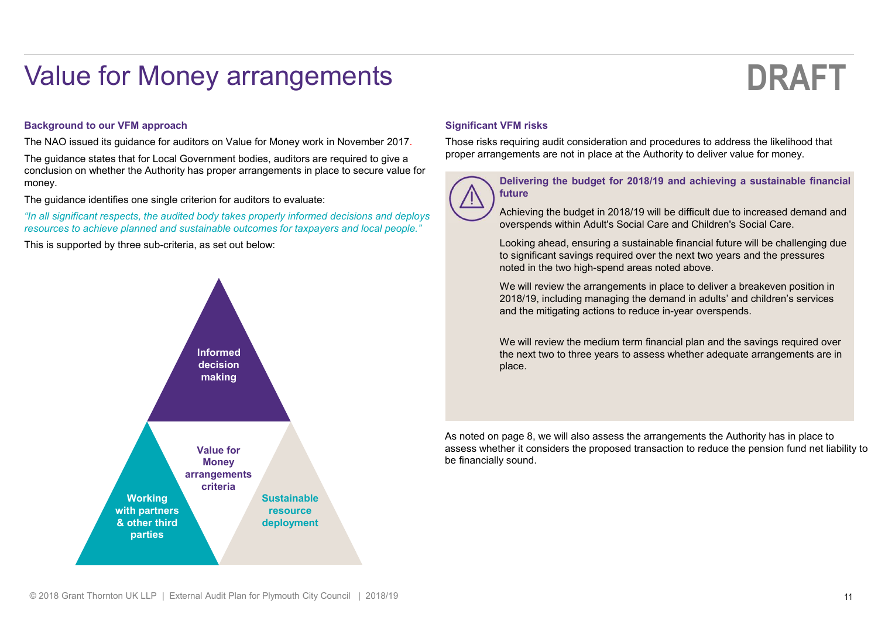## Value for Money arrangements

# DRAFT

Value for Money arrangements<br>Background to our VFM approach<br>The NAO issued its guidance for auditors on Value for Money work in November 2017. Those ris<br>The guidance states that for Local Government bodies, auditors are re The NAO issued its guidance for auditors on Value for Money work in November 2017. The guidance states that for Local Government bodies, auditors are required to give a conclusion on whether the Authority has proper arrangements in place to secure value for<br>
Delivering the budget for 2018/19 and achieving a sustainable financial<br>
Delivering the budget for 2018/19 and achieving a sustainab money.

The guidance identifies one single criterion for auditors to evaluate:

"In all significant respects, the audited body takes properly informed decisions and deploys resources to achieve planned and sustainable outcomes for taxpayers and local people."

This is supported by three sub-criteria, as set out below:



## Significant VFM risks

Those risks requiring audit consideration and procedures to address the likelihood that proper arrangements are not in place at the Authority to deliver value for money.



VFM risks<br>requiring audit consideration and procedures to address the likelihood that<br>gements are not in place at the Authority to deliver value for money.<br>Delivering the budget for 2018/19 and achieving a sustainable fina future

Achieving the budget in 2018/19 will be difficult due to increased demand and overspends within Adult's Social Care and Children's Social Care.

Looking ahead, ensuring a sustainable financial future will be challenging due to significant savings required over the next two years and the pressures noted in the two high-spend areas noted above.

We will review the arrangements in place to deliver a breakeven position in 2018/19, including managing the demand in adults' and children's services and the mitigating actions to reduce in-year overspends.

We will review the medium term financial plan and the savings required over the next two to three years to assess whether adequate arrangements are in place.

As noted on page 8, we will also assess the arrangements the Authority has in place to assess whether it considers the proposed transaction to reduce the pension fund net liability to be financially sound.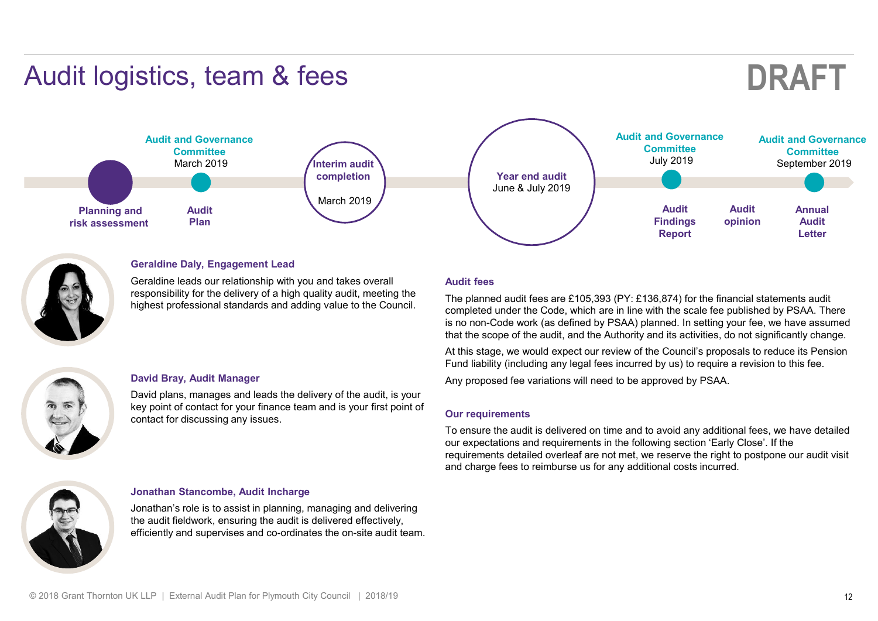Audit and Governance **Committee** 

Audit

Audit logistics, team & fees



Geraldine leads our relationship with you and takes overall responsibility for the delivery of a high quality audit, meeting the highest professional standards and adding value to the Council.

March 2019 **March 2019 March 2019** 

Plan and the contract of the contract of the contract of the contract of the contract of the contract of the contract of the contract of the contract of the contract of the contract of the contract of the contract of the c

completion

March 2019

## David Bray, Audit Manager

David plans, manages and leads the delivery of the audit, is your key point of contact for your finance team and is your first point of contact for discussing any issues.

## Audit fees

Year end audit June & July 2019

The planned audit fees are £105,393 (PY: £136,874) for the financial statements audit completed under the Code, which are in line with the scale fee published by PSAA. There is no non-Code work (as defined by PSAA) planned. In setting your fee, we have assumed that the scope of the audit, and the Authority and its activities, do not significantly change.

Audit and Governance **Committee** 

> Findings Report

Audit **Audit** 

opinion

At this stage, we would expect our review of the Council's proposals to reduce its Pension Fund liability (including any legal fees incurred by us) to require a revision to this fee.

Any proposed fee variations will need to be approved by PSAA.

### Our requirements

To ensure the audit is delivered on time and to avoid any additional fees, we have detailed our expectations and requirements in the following section 'Early Close'. If the requirements detailed overleaf are not met, we reserve the right to postpone our audit visit and charge fees to reimburse us for any additional costs incurred.



#### Jonathan Stancombe, Audit Incharge

Jonathan's role is to assist in planning, managing and delivering the audit fieldwork, ensuring the audit is delivered effectively, efficiently and supervises and co-ordinates the on-site audit team.

# DRAFT

Audit and Governance **Committee** 

July 2019 September 2019

Audit Annual

Audit **Letter** 



Planning and

risk assessment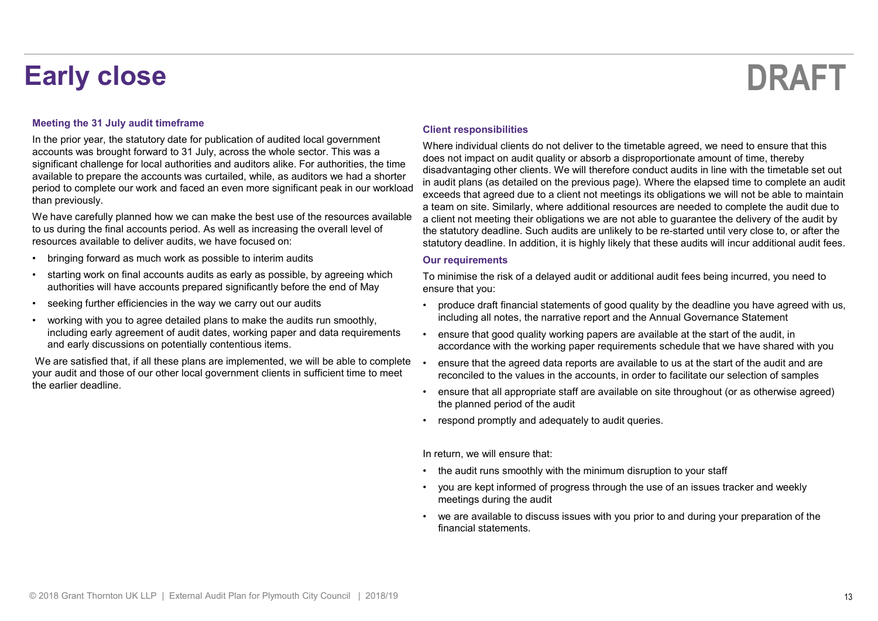## Early close

# DRAFT

### Meeting the 31 July audit timeframe

In the prior year, the statutory date for publication of audited local government accounts was brought forward to 31 July, across the whole sector. This was a significant challenge for local authorities and auditors alike. For authorities, the time available to prepare the accounts was curtailed, while, as auditors we had a shorter period to complete our work and faced an even more significant peak in our workload than previously. **EXECTS COMORE THE CONSCRETE CONSCRETE CONSCRETE CONSCRETE CONSCRETE CREAT AS MUCHAL AS MUCHAL AS MUCHAL AS MUCHAL AS MUCHAL AS MUCHAL AS MUCHAL AS MUCHAL AS MUCHAL AS MUCHAL AS MUCHAL AS MUCHAL AS MUCHAL AS MUCHAL AS MUCH Early close**<br> **Early close**<br>
In the prior year, the statutory date for publication of audited local government<br>
accounts was a brought forward to 31 July, across the whole sector. This was a<br>
significant challenge for loc **Early close**<br> **Early close**<br>
In the prior year, the statutory date for publication of audited local government<br>
in the prior statutory date for publication and althoris alike. For authorities a divide, as a<br>
significant c **EXAMUSE THE SERV AND SERV**<br> **EXAMUSE THE SERVIT AND MANUST AND THE SERVITE AND MANUST AND THAN AND THAN AND THAN AND INSULTED AND INSULTED AND INSULTED AND INSULTED AND INSULTED AND INSULTED AND HOW INTO THE SHOW THAN AN** 

We have carefully planned how we can make the best use of the resources available to us during the final accounts period. As well as increasing the overall level of resources available to deliver audits, we have focused on:

- 
- authorities will have accounts prepared significantly before the end of May
- 
- including early agreement of audit dates, working paper and data requirements . ensure that good quality working papers are available at the start of the audit, in and early discussions on potentially contentious items.

We are satisfied that, if all these plans are implemented, we will be able to complete • ensure that the agreed data reports are available to us at the start of the audit and are your audit and those of our other local government clients in sufficient time to meet the earlier deadline.

### Client responsibilities

Where individual clients do not deliver to the timetable agreed, we need to ensure that this does not impact on audit quality or absorb a disproportionate amount of time, thereby disadvantaging other clients. We will therefore conduct audits in line with the timetable set out in audit plans (as detailed on the previous page). Where the elapsed time to complete an audit exceeds that agreed due to a client not meetings its obligations we will not be able to maintain a team on site. Similarly, where additional resources are needed to complete the audit due to a client not meeting their obligations we are not able to guarantee the delivery of the audit by the statutory deadline. Such audits are unlikely to be re-started until very close to, or after the statutory deadline. In addition, it is highly likely that these audits will incur additional audit fees. **Client responsibilities**<br> **Client responsibilities**<br>
Where individual clients do not deliver to the timetable agreed, we need to ensure that this<br>
does not impact on audit quality or absorb a disproportionate amount of t **Client responsibilities**<br>
Where individual clients do not deliver to the timetable agreed, we need to ensure that this<br>
does not impact on audit quality or absorb a disproportionate amount of time, thereby<br>
disadvantagin Client responsibilities<br>
Where individual clients do not deliver to the timetable agreed, we need to ensure that this<br>
disadvantaging other audit quality or absorb a disapvoportionate amount of time, threeby<br>
disadvantagin Client responsibilities<br>
Where individual clients do not deliver to the timetable agreed, we need to ensure that this<br>
Where individual clients. We will therefore conduct audits in line with the timetable set out<br>
disadvan From the material statement and a control of the distribution and the previous of the control of the thing that in the term is the will therefore conduct audits in line with the time in in andit plans (as detailed on the p at the minimum of the minimum of the minimum disruption of the audit and elent not meeting their boligations we are not able to guarantee the delivery of the audit at clent not meeting their bilgations we are not able to g a client not meeting their obligations we are not able to guarantee the delivery of the audit by<br>the statutory deadline. Such audits are unlikely to be re-started until very close to, or after the<br>statutory deadline. In ad

#### Our requirements

To minimise the risk of a delayed audit or additional audit fees being incurred, you need to ensure that you:

- including all notes, the narrative report and the Annual Governance Statement • Summaris The available to and the state of the discuss issues with the state of the mancial statements.<br>
• We produce cant financial statements of good quality by the deadline you have agreed with us,<br>
• produce cant fin
- accordance with the working paper requirements schedule that we have shared with you
- reconciled to the values in the accounts, in order to facilitate our selection of samples
- the planned period of the audit
- 

In return, we will ensure that:

- 
- meetings during the audit
- financial statements.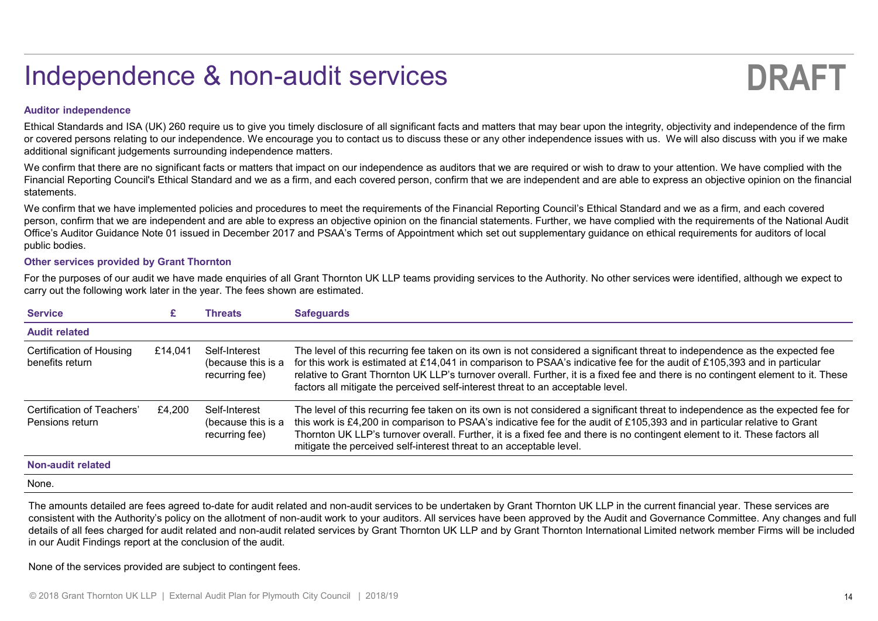## Independence & non-audit services

# DRAFT

## Auditor independence

Independence<br>Ethical Standards and ISA (UK) 260 require us to give you timely disclosure of all significant facts and matters that may bear upon the integrity, objectivity and independence of the firm<br>Grimal Standards and statements.

Independence<br>Auditor independence<br>Chinal Standards and ISA (UK) 260 require us to give you timely disolosure of all significant facts and matters that may beer upon the integrity, objectivity and independence of the firm<br>o We confirm that we have implemented policies and procedures to meet the requirements of the Financial Reporting Council's Ethical Standard and we as a firm, and each covered<br>person, confirm that we are independent and are Independent of the Nations and SA (UK) 260 require us to give you timely disclosure of all significant facts and matters that may bear upon the integrity, objectivity and independence of the firm<br>Antion Independent indigen Office's Auditor Guidance Note 01 issued in December 2017 and PSAA's Terms of Appointment which set out supplementary guidance on ethical requirements for auditors of local public bodies.

### Other services provided by Grant Thornton

|                                                                               |         |                                                       | Independence & non-audit services<br><b>DRAFT</b>                                                                                                                                                                                                                                                                                                                                                                                                                                                                                                        |  |
|-------------------------------------------------------------------------------|---------|-------------------------------------------------------|----------------------------------------------------------------------------------------------------------------------------------------------------------------------------------------------------------------------------------------------------------------------------------------------------------------------------------------------------------------------------------------------------------------------------------------------------------------------------------------------------------------------------------------------------------|--|
| <b>Auditor independence</b>                                                   |         |                                                       |                                                                                                                                                                                                                                                                                                                                                                                                                                                                                                                                                          |  |
| additional significant judgements surrounding independence matters.           |         |                                                       | Ethical Standards and ISA (UK) 260 require us to give you timely disclosure of all significant facts and matters that may bear upon the integrity, objectivity and independence of the firm<br>or covered persons relating to our independence. We encourage you to contact us to discuss these or any other independence issues with us. We will also discuss with you if we make                                                                                                                                                                       |  |
| statements.                                                                   |         |                                                       | We confirm that there are no significant facts or matters that impact on our independence as auditors that we are required or wish to draw to your attention. We have complied with the<br>Financial Reporting Council's Ethical Standard and we as a firm, and each covered person, confirm that we are independent and are able to express an objective opinion on the financial                                                                                                                                                                       |  |
| public bodies.                                                                |         |                                                       | We confirm that we have implemented policies and procedures to meet the requirements of the Financial Reporting Council's Ethical Standard and we as a firm, and each covered<br>person, confirm that we are independent and are able to express an objective opinion on the financial statements. Further, we have complied with the requirements of the National Audit<br>Office's Auditor Guidance Note 01 issued in December 2017 and PSAA's Terms of Appointment which set out supplementary guidance on ethical requirements for auditors of local |  |
| <b>Other services provided by Grant Thornton</b>                              |         |                                                       |                                                                                                                                                                                                                                                                                                                                                                                                                                                                                                                                                          |  |
| carry out the following work later in the year. The fees shown are estimated. |         |                                                       | For the purposes of our audit we have made enquiries of all Grant Thornton UK LLP teams providing services to the Authority. No other services were identified, although we expect to                                                                                                                                                                                                                                                                                                                                                                    |  |
| <b>Service</b>                                                                | £       | <b>Threats</b>                                        | <b>Safeguards</b>                                                                                                                                                                                                                                                                                                                                                                                                                                                                                                                                        |  |
| <b>Audit related</b>                                                          |         |                                                       |                                                                                                                                                                                                                                                                                                                                                                                                                                                                                                                                                          |  |
| <b>Certification of Housing</b><br>benefits return                            | £14,041 | Self-Interest<br>(because this is a<br>recurring fee) | The level of this recurring fee taken on its own is not considered a significant threat to independence as the expected fee<br>for this work is estimated at £14,041 in comparison to PSAA's indicative fee for the audit of £105,393 and in particular<br>relative to Grant Thornton UK LLP's turnover overall. Further, it is a fixed fee and there is no contingent element to it. These<br>factors all mitigate the perceived self-interest threat to an acceptable level.                                                                           |  |
| <b>Certification of Teachers'</b><br>Pensions return                          | £4,200  | Self-Interest<br>(because this is a<br>recurring fee) | The level of this recurring fee taken on its own is not considered a significant threat to independence as the expected fee for<br>this work is £4,200 in comparison to PSAA's indicative fee for the audit of £105,393 and in particular relative to Grant<br>Thornton UK LLP's turnover overall. Further, it is a fixed fee and there is no contingent element to it. These factors all<br>mitigate the perceived self-interest threat to an acceptable level.                                                                                         |  |
| <b>Non-audit related</b>                                                      |         |                                                       |                                                                                                                                                                                                                                                                                                                                                                                                                                                                                                                                                          |  |
| None.                                                                         |         |                                                       |                                                                                                                                                                                                                                                                                                                                                                                                                                                                                                                                                          |  |

The amounts detailed are fees agreed to-date for audit related and non-audit services to be undertaken by Grant Thornton UK LLP in the current financial year. These services are consistent with the Authority's policy on the allotment of non-audit work to your auditors. All services have been approved by the Audit and Governance Committee. Any changes and full details of all fees charged for audit related and non-audit related services by Grant Thornton UK LLP and by Grant Thornton International Limited network member Firms will be included in our Audit Findings report at the conclusion of the audit.

None of the services provided are subject to contingent fees.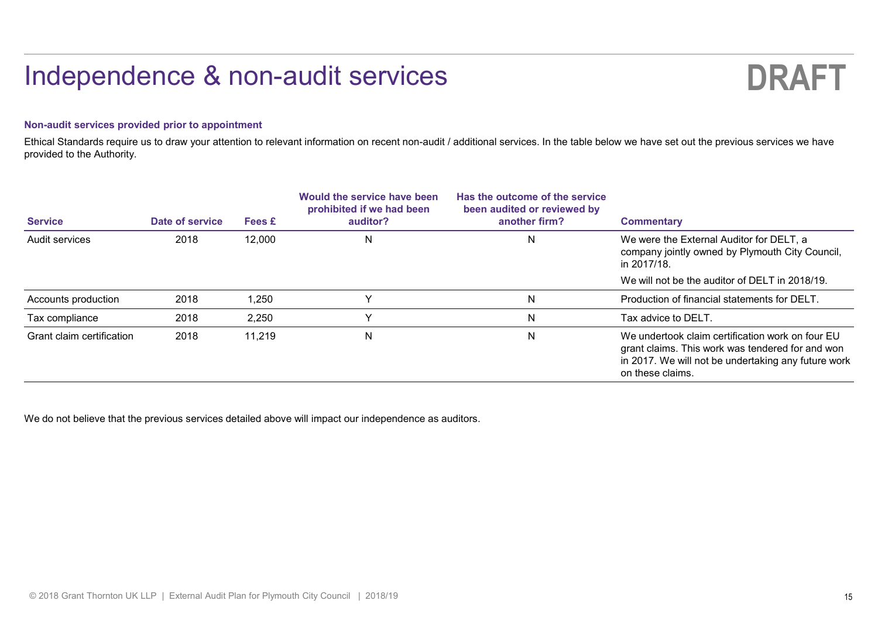## Independence & non-audit services



### Non-audit services provided prior to appointment

|                                                                                |                         |        |                                                                      |                                                                                | <b>DRAFT</b>                                                                                                                                                                            |
|--------------------------------------------------------------------------------|-------------------------|--------|----------------------------------------------------------------------|--------------------------------------------------------------------------------|-----------------------------------------------------------------------------------------------------------------------------------------------------------------------------------------|
|                                                                                |                         |        | Independence & non-audit services                                    |                                                                                |                                                                                                                                                                                         |
| Non-audit services provided prior to appointment<br>provided to the Authority. |                         | Fees £ | Would the service have been<br>prohibited if we had been<br>auditor? | Has the outcome of the service<br>been audited or reviewed by<br>another firm? | Ethical Standards require us to draw your attention to relevant information on recent non-audit / additional services. In the table below we have set out the previous services we have |
|                                                                                |                         |        |                                                                      |                                                                                |                                                                                                                                                                                         |
| <b>Service</b><br>Audit services                                               | Date of service<br>2018 | 12,000 | $\mathsf{N}$                                                         | $\mathsf{N}$                                                                   | <b>Commentary</b><br>We were the External Auditor for DELT, a<br>company jointly owned by Plymouth City Council,<br>in 2017/18.                                                         |
|                                                                                |                         |        |                                                                      |                                                                                | We will not be the auditor of DELT in 2018/19.                                                                                                                                          |
| Accounts production                                                            | 2018                    | 1,250  | Y                                                                    | N                                                                              | Production of financial statements for DELT.                                                                                                                                            |
| Tax compliance                                                                 | 2018                    | 2,250  | Y                                                                    | N.                                                                             | Tax advice to DELT.                                                                                                                                                                     |

We do not believe that the previous services detailed above will impact our independence as auditors.